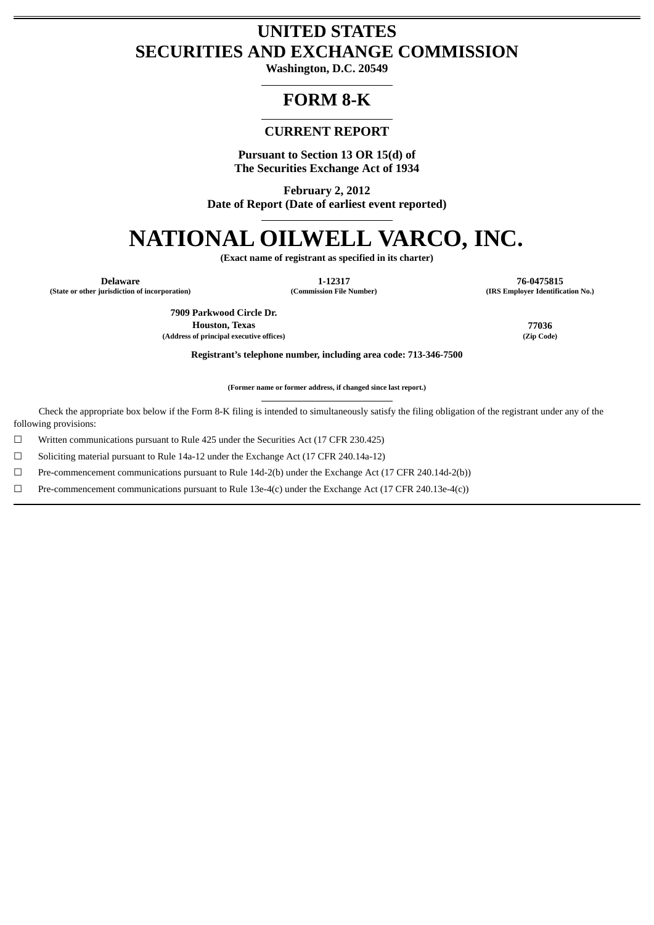# **UNITED STATES SECURITIES AND EXCHANGE COMMISSION**

**Washington, D.C. 20549**

# **FORM 8-K**

## **CURRENT REPORT**

**Pursuant to Section 13 OR 15(d) of The Securities Exchange Act of 1934**

**February 2, 2012 Date of Report (Date of earliest event reported)**

# **NATIONAL OILWELL VARCO, INC.**

**(Exact name of registrant as specified in its charter)**

**Delaware 1-12317 76-0475815 (State or other jurisdiction of incorporation) (Commission File Number) (IRS Employer Identification No.)**

> **7909 Parkwood Circle Dr. Houston, Texas 77036 (Address of principal executive offices) (Zip Code)**

**Registrant's telephone number, including area code: 713-346-7500**

**(Former name or former address, if changed since last report.)**

Check the appropriate box below if the Form 8-K filing is intended to simultaneously satisfy the filing obligation of the registrant under any of the following provisions:

☐ Written communications pursuant to Rule 425 under the Securities Act (17 CFR 230.425)

 $\Box$  Soliciting material pursuant to Rule 14a-12 under the Exchange Act (17 CFR 240.14a-12)

☐ Pre-commencement communications pursuant to Rule 14d-2(b) under the Exchange Act (17 CFR 240.14d-2(b))

☐ Pre-commencement communications pursuant to Rule 13e-4(c) under the Exchange Act (17 CFR 240.13e-4(c))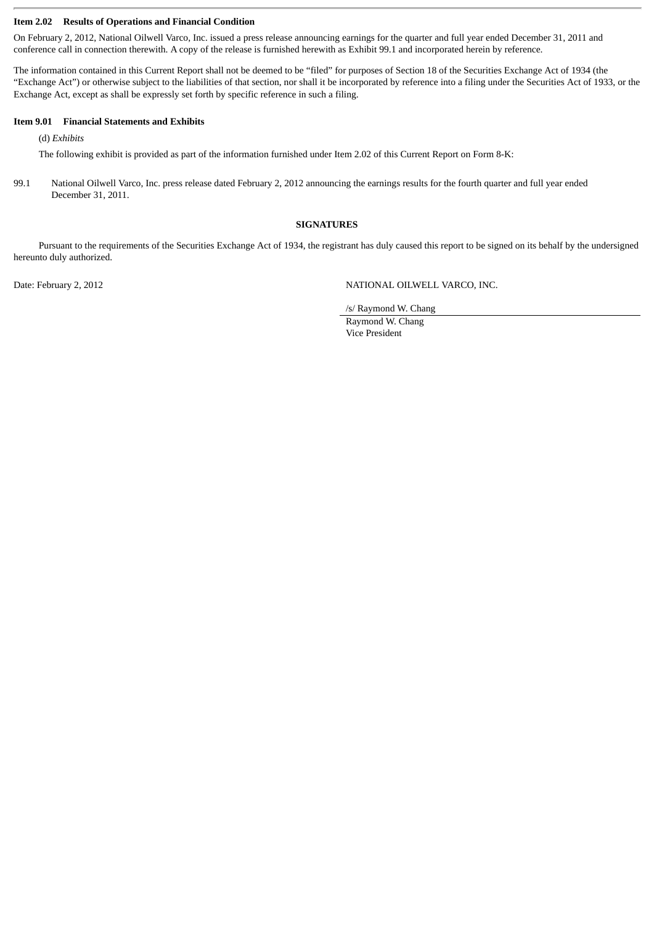#### **Item 2.02 Results of Operations and Financial Condition**

On February 2, 2012, National Oilwell Varco, Inc. issued a press release announcing earnings for the quarter and full year ended December 31, 2011 and conference call in connection therewith. A copy of the release is furnished herewith as Exhibit 99.1 and incorporated herein by reference.

The information contained in this Current Report shall not be deemed to be "filed" for purposes of Section 18 of the Securities Exchange Act of 1934 (the "Exchange Act") or otherwise subject to the liabilities of that section, nor shall it be incorporated by reference into a filing under the Securities Act of 1933, or the Exchange Act, except as shall be expressly set forth by specific reference in such a filing.

#### **Item 9.01 Financial Statements and Exhibits**

(d) *Exhibits*

The following exhibit is provided as part of the information furnished under Item 2.02 of this Current Report on Form 8-K:

99.1 National Oilwell Varco, Inc. press release dated February 2, 2012 announcing the earnings results for the fourth quarter and full year ended December 31, 2011.

#### **SIGNATURES**

Pursuant to the requirements of the Securities Exchange Act of 1934, the registrant has duly caused this report to be signed on its behalf by the undersigned hereunto duly authorized.

Date: February 2, 2012 **NATIONAL OILWELL VARCO, INC.** 

/s/ Raymond W. Chang

Raymond W. Chang Vice President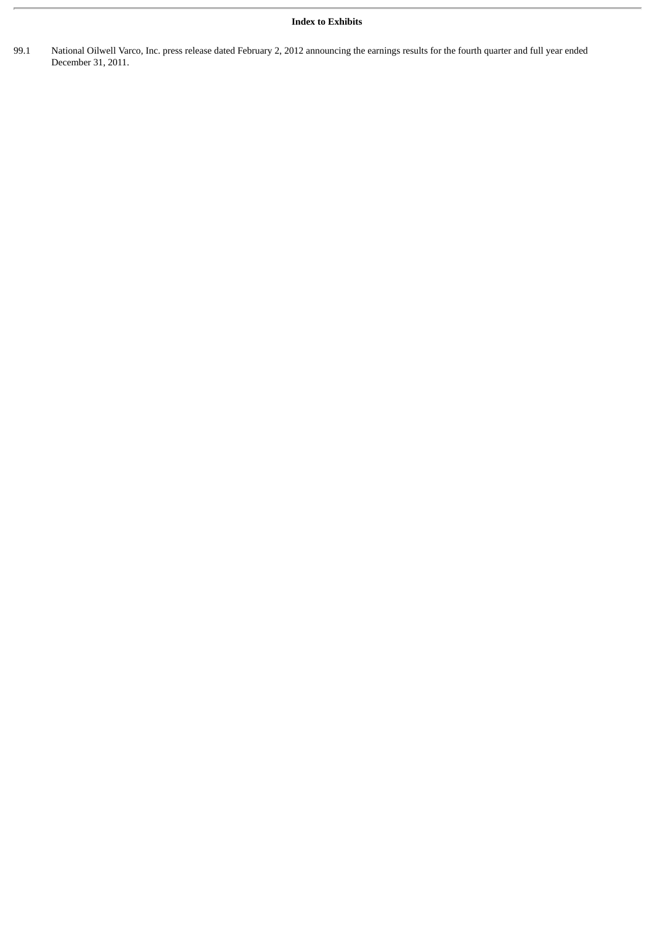### **Index to Exhibits**

99.1 National Oilwell Varco, Inc. press release dated February 2, 2012 announcing the earnings results for the fourth quarter and full year ended December 31, 2011.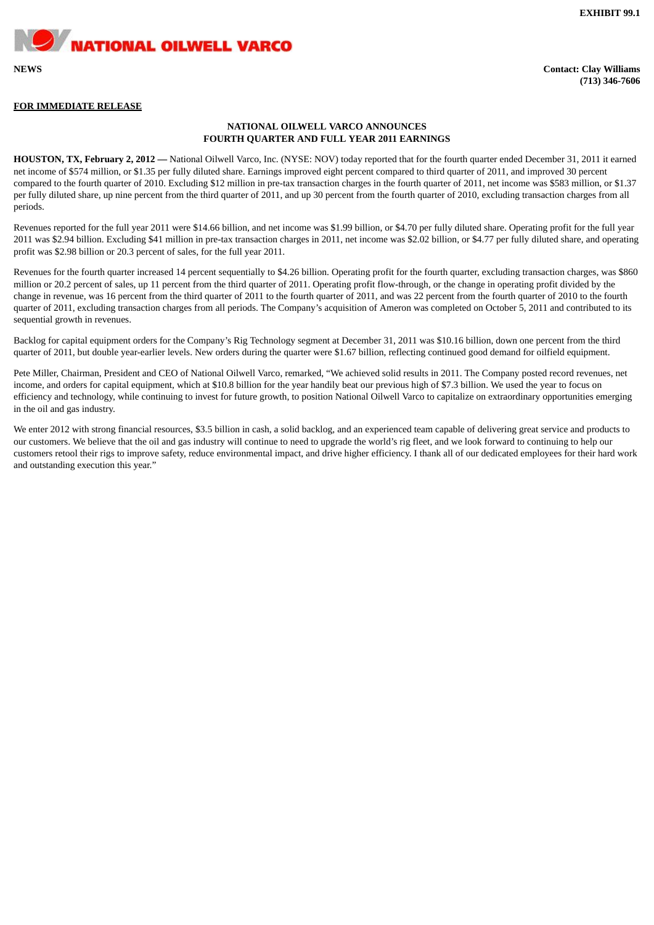**EXHIBIT 99.1**

#### **FOR IMMEDIATE RELEASE**

**NATIONAL OILWELL VARCO** 

#### **NATIONAL OILWELL VARCO ANNOUNCES FOURTH QUARTER AND FULL YEAR 2011 EARNINGS**

**HOUSTON, TX, February 2, 2012 —** National Oilwell Varco, Inc. (NYSE: NOV) today reported that for the fourth quarter ended December 31, 2011 it earned net income of \$574 million, or \$1.35 per fully diluted share. Earnings improved eight percent compared to third quarter of 2011, and improved 30 percent compared to the fourth quarter of 2010. Excluding \$12 million in pre-tax transaction charges in the fourth quarter of 2011, net income was \$583 million, or \$1.37 per fully diluted share, up nine percent from the third quarter of 2011, and up 30 percent from the fourth quarter of 2010, excluding transaction charges from all periods.

Revenues reported for the full year 2011 were \$14.66 billion, and net income was \$1.99 billion, or \$4.70 per fully diluted share. Operating profit for the full year 2011 was \$2.94 billion. Excluding \$41 million in pre-tax transaction charges in 2011, net income was \$2.02 billion, or \$4.77 per fully diluted share, and operating profit was \$2.98 billion or 20.3 percent of sales, for the full year 2011.

Revenues for the fourth quarter increased 14 percent sequentially to \$4.26 billion. Operating profit for the fourth quarter, excluding transaction charges, was \$860 million or 20.2 percent of sales, up 11 percent from the third quarter of 2011. Operating profit flow-through, or the change in operating profit divided by the change in revenue, was 16 percent from the third quarter of 2011 to the fourth quarter of 2011, and was 22 percent from the fourth quarter of 2010 to the fourth quarter of 2011, excluding transaction charges from all periods. The Company's acquisition of Ameron was completed on October 5, 2011 and contributed to its sequential growth in revenues.

Backlog for capital equipment orders for the Company's Rig Technology segment at December 31, 2011 was \$10.16 billion, down one percent from the third quarter of 2011, but double year-earlier levels. New orders during the quarter were \$1.67 billion, reflecting continued good demand for oilfield equipment.

Pete Miller, Chairman, President and CEO of National Oilwell Varco, remarked, "We achieved solid results in 2011. The Company posted record revenues, net income, and orders for capital equipment, which at \$10.8 billion for the year handily beat our previous high of \$7.3 billion. We used the year to focus on efficiency and technology, while continuing to invest for future growth, to position National Oilwell Varco to capitalize on extraordinary opportunities emerging in the oil and gas industry.

We enter 2012 with strong financial resources, \$3.5 billion in cash, a solid backlog, and an experienced team capable of delivering great service and products to our customers. We believe that the oil and gas industry will continue to need to upgrade the world's rig fleet, and we look forward to continuing to help our customers retool their rigs to improve safety, reduce environmental impact, and drive higher efficiency. I thank all of our dedicated employees for their hard work and outstanding execution this year."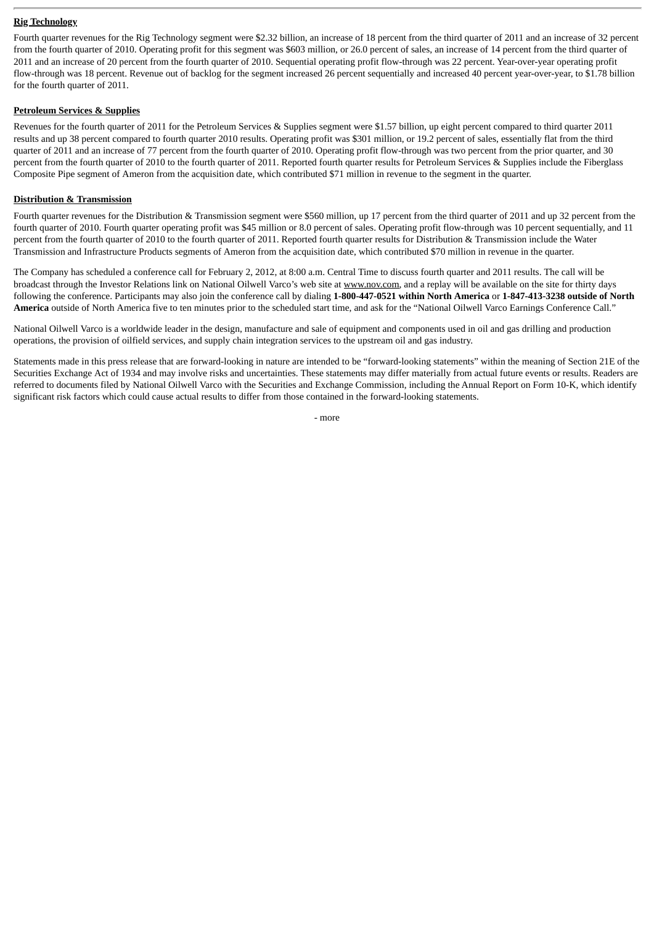#### **Rig Technology**

Fourth quarter revenues for the Rig Technology segment were \$2.32 billion, an increase of 18 percent from the third quarter of 2011 and an increase of 32 percent from the fourth quarter of 2010. Operating profit for this segment was \$603 million, or 26.0 percent of sales, an increase of 14 percent from the third quarter of 2011 and an increase of 20 percent from the fourth quarter of 2010. Sequential operating profit flow-through was 22 percent. Year-over-year operating profit flow-through was 18 percent. Revenue out of backlog for the segment increased 26 percent sequentially and increased 40 percent year-over-year, to \$1.78 billion for the fourth quarter of 2011.

#### **Petroleum Services & Supplies**

Revenues for the fourth quarter of 2011 for the Petroleum Services & Supplies segment were \$1.57 billion, up eight percent compared to third quarter 2011 results and up 38 percent compared to fourth quarter 2010 results. Operating profit was \$301 million, or 19.2 percent of sales, essentially flat from the third quarter of 2011 and an increase of 77 percent from the fourth quarter of 2010. Operating profit flow-through was two percent from the prior quarter, and 30 percent from the fourth quarter of 2010 to the fourth quarter of 2011. Reported fourth quarter results for Petroleum Services & Supplies include the Fiberglass Composite Pipe segment of Ameron from the acquisition date, which contributed \$71 million in revenue to the segment in the quarter.

#### **Distribution & Transmission**

Fourth quarter revenues for the Distribution & Transmission segment were \$560 million, up 17 percent from the third quarter of 2011 and up 32 percent from the fourth quarter of 2010. Fourth quarter operating profit was \$45 million or 8.0 percent of sales. Operating profit flow-through was 10 percent sequentially, and 11 percent from the fourth quarter of 2010 to the fourth quarter of 2011. Reported fourth quarter results for Distribution & Transmission include the Water Transmission and Infrastructure Products segments of Ameron from the acquisition date, which contributed \$70 million in revenue in the quarter.

The Company has scheduled a conference call for February 2, 2012, at 8:00 a.m. Central Time to discuss fourth quarter and 2011 results. The call will be broadcast through the Investor Relations link on National Oilwell Varco's web site at www.nov.com, and a replay will be available on the site for thirty days following the conference. Participants may also join the conference call by dialing **1-800-447-0521 within North America** or **1-847-413-3238 outside of North America** outside of North America five to ten minutes prior to the scheduled start time, and ask for the "National Oilwell Varco Earnings Conference Call."

National Oilwell Varco is a worldwide leader in the design, manufacture and sale of equipment and components used in oil and gas drilling and production operations, the provision of oilfield services, and supply chain integration services to the upstream oil and gas industry.

Statements made in this press release that are forward-looking in nature are intended to be "forward-looking statements" within the meaning of Section 21E of the Securities Exchange Act of 1934 and may involve risks and uncertainties. These statements may differ materially from actual future events or results. Readers are referred to documents filed by National Oilwell Varco with the Securities and Exchange Commission, including the Annual Report on Form 10-K, which identify significant risk factors which could cause actual results to differ from those contained in the forward-looking statements.

- more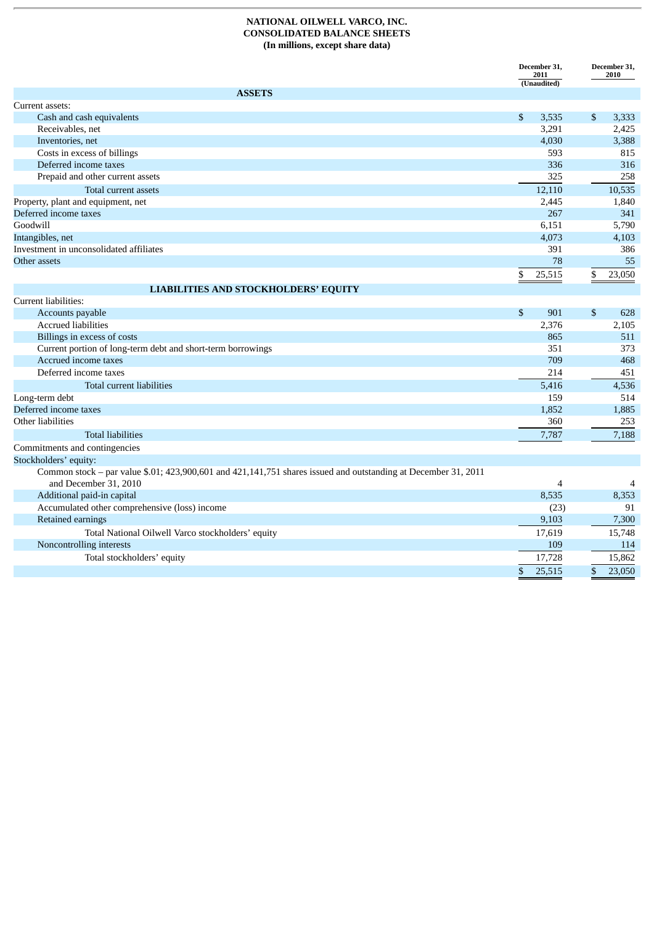#### **NATIONAL OILWELL VARCO, INC. CONSOLIDATED BALANCE SHEETS (In millions, except share data)**

| (Unaudited)<br><b>ASSETS</b><br>Current assets:<br>Cash and cash equivalents<br>$\mathbb{S}$<br>3,535<br>\$<br>3,333<br>3,291<br>2,425<br>Receivables, net<br>3,388<br>4,030<br>Inventories, net<br>Costs in excess of billings<br>593<br>815<br>336<br>Deferred income taxes<br>316<br>325<br>258<br>Prepaid and other current assets<br>10,535<br>12,110<br>Total current assets<br>Property, plant and equipment, net<br>1,840<br>2,445<br>Deferred income taxes<br>267<br>341<br>Goodwill<br>6,151<br>5,790 |
|-----------------------------------------------------------------------------------------------------------------------------------------------------------------------------------------------------------------------------------------------------------------------------------------------------------------------------------------------------------------------------------------------------------------------------------------------------------------------------------------------------------------|
|                                                                                                                                                                                                                                                                                                                                                                                                                                                                                                                 |
|                                                                                                                                                                                                                                                                                                                                                                                                                                                                                                                 |
|                                                                                                                                                                                                                                                                                                                                                                                                                                                                                                                 |
|                                                                                                                                                                                                                                                                                                                                                                                                                                                                                                                 |
|                                                                                                                                                                                                                                                                                                                                                                                                                                                                                                                 |
|                                                                                                                                                                                                                                                                                                                                                                                                                                                                                                                 |
|                                                                                                                                                                                                                                                                                                                                                                                                                                                                                                                 |
|                                                                                                                                                                                                                                                                                                                                                                                                                                                                                                                 |
|                                                                                                                                                                                                                                                                                                                                                                                                                                                                                                                 |
|                                                                                                                                                                                                                                                                                                                                                                                                                                                                                                                 |
|                                                                                                                                                                                                                                                                                                                                                                                                                                                                                                                 |
|                                                                                                                                                                                                                                                                                                                                                                                                                                                                                                                 |
| 4,073<br>Intangibles, net<br>4,103                                                                                                                                                                                                                                                                                                                                                                                                                                                                              |
| Investment in unconsolidated affiliates<br>386<br>391                                                                                                                                                                                                                                                                                                                                                                                                                                                           |
| 78<br>Other assets<br>55                                                                                                                                                                                                                                                                                                                                                                                                                                                                                        |
| 25,515<br>\$<br>\$<br>23,050                                                                                                                                                                                                                                                                                                                                                                                                                                                                                    |
| <b>LIABILITIES AND STOCKHOLDERS' EQUITY</b>                                                                                                                                                                                                                                                                                                                                                                                                                                                                     |
| Current liabilities:                                                                                                                                                                                                                                                                                                                                                                                                                                                                                            |
| \$<br>$\mathfrak{S}$<br>901<br>Accounts payable<br>628                                                                                                                                                                                                                                                                                                                                                                                                                                                          |
| <b>Accrued liabilities</b><br>2,376<br>2,105                                                                                                                                                                                                                                                                                                                                                                                                                                                                    |
| Billings in excess of costs<br>865<br>511                                                                                                                                                                                                                                                                                                                                                                                                                                                                       |
| Current portion of long-term debt and short-term borrowings<br>351<br>373                                                                                                                                                                                                                                                                                                                                                                                                                                       |
| Accrued income taxes<br>709<br>468                                                                                                                                                                                                                                                                                                                                                                                                                                                                              |
| Deferred income taxes<br>214<br>451                                                                                                                                                                                                                                                                                                                                                                                                                                                                             |
| Total current liabilities<br>5,416<br>4,536                                                                                                                                                                                                                                                                                                                                                                                                                                                                     |
| 514<br>Long-term debt<br>159                                                                                                                                                                                                                                                                                                                                                                                                                                                                                    |
| Deferred income taxes<br>1,885<br>1,852                                                                                                                                                                                                                                                                                                                                                                                                                                                                         |
| Other liabilities<br>360<br>253                                                                                                                                                                                                                                                                                                                                                                                                                                                                                 |
| <b>Total liabilities</b><br>7,787<br>7,188                                                                                                                                                                                                                                                                                                                                                                                                                                                                      |
| Commitments and contingencies                                                                                                                                                                                                                                                                                                                                                                                                                                                                                   |
| Stockholders' equity:                                                                                                                                                                                                                                                                                                                                                                                                                                                                                           |
| Common stock - par value \$.01; 423,900,601 and 421,141,751 shares issued and outstanding at December 31, 2011                                                                                                                                                                                                                                                                                                                                                                                                  |
| and December 31, 2010<br>$\overline{4}$<br>4                                                                                                                                                                                                                                                                                                                                                                                                                                                                    |
| Additional paid-in capital<br>8,535<br>8,353                                                                                                                                                                                                                                                                                                                                                                                                                                                                    |
| Accumulated other comprehensive (loss) income<br>(23)<br>91                                                                                                                                                                                                                                                                                                                                                                                                                                                     |
| 9,103<br>Retained earnings<br>7,300                                                                                                                                                                                                                                                                                                                                                                                                                                                                             |
| 17,619<br>15,748<br>Total National Oilwell Varco stockholders' equity                                                                                                                                                                                                                                                                                                                                                                                                                                           |
| Noncontrolling interests<br>109<br>114                                                                                                                                                                                                                                                                                                                                                                                                                                                                          |
| 15,862<br>Total stockholders' equity<br>17,728                                                                                                                                                                                                                                                                                                                                                                                                                                                                  |
| $\sqrt{2}$<br>25,515<br>\$<br>23,050                                                                                                                                                                                                                                                                                                                                                                                                                                                                            |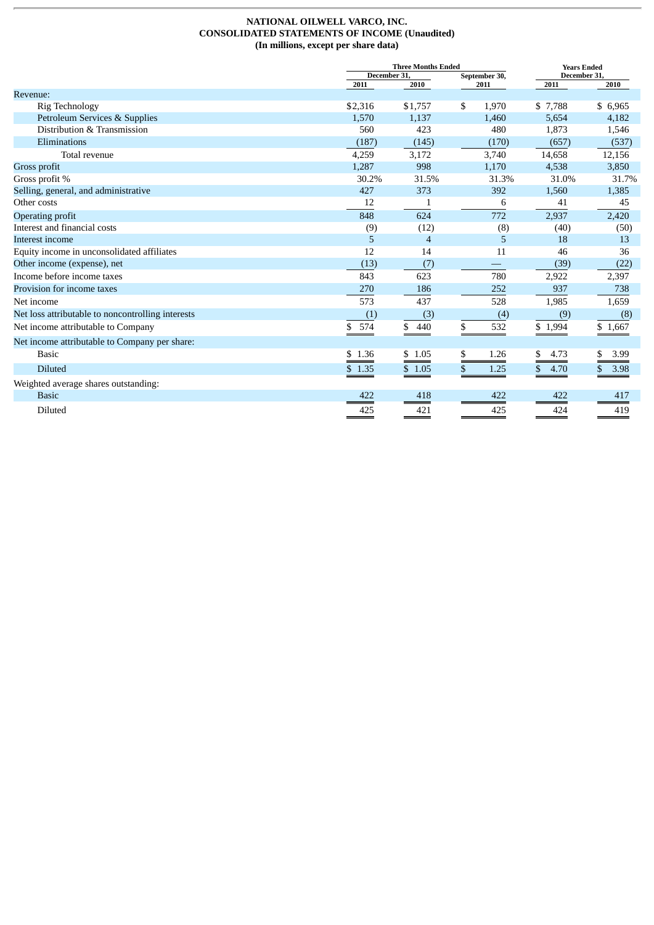#### **NATIONAL OILWELL VARCO, INC. CONSOLIDATED STATEMENTS OF INCOME (Unaudited) (In millions, except per share data)**

|                                                   |           | <b>Three Months Ended</b>    | <b>Years Ended</b> |       |              |            |  |
|---------------------------------------------------|-----------|------------------------------|--------------------|-------|--------------|------------|--|
|                                                   |           | December 31<br>September 30, |                    |       | December 31. |            |  |
|                                                   | 2011      | 2010                         |                    | 2011  | 2011         | 2010       |  |
| <b>Revenue:</b><br>Rig Technology                 | \$2,316   | \$1,757                      | \$                 | 1,970 | \$7,788      | \$6,965    |  |
| Petroleum Services & Supplies                     | 1,570     | 1,137                        |                    | 1,460 | 5,654        | 4,182      |  |
| Distribution & Transmission                       | 560       | 423                          |                    | 480   | 1,873        | 1,546      |  |
| Eliminations                                      | (187)     | (145)                        |                    | (170) | (657)        | (537)      |  |
| Total revenue                                     | 4,259     | 3,172                        |                    | 3,740 | 14,658       | 12,156     |  |
| Gross profit                                      | 1,287     | 998                          |                    | 1,170 | 4,538        | 3,850      |  |
| Gross profit %                                    | 30.2%     | 31.5%                        |                    | 31.3% | 31.0%        | 31.7%      |  |
| Selling, general, and administrative              | 427       | 373                          |                    | 392   | 1,560        | 1,385      |  |
| Other costs                                       | 12        |                              |                    | 6     | 41           | 45         |  |
| Operating profit                                  | 848       | 624                          |                    | 772   | 2,937        | 2,420      |  |
| Interest and financial costs                      | (9)       | (12)                         |                    | (8)   | (40)         | (50)       |  |
| Interest income                                   | 5.        | $\overline{4}$               |                    | 5     | 18           | 13         |  |
| Equity income in unconsolidated affiliates        | 12        | 14                           |                    | 11    | 46           | 36         |  |
| Other income (expense), net                       | (13)      | (7)                          |                    |       | (39)         | (22)       |  |
| Income before income taxes                        | 843       | 623                          |                    | 780   | 2,922        | 2,397      |  |
| Provision for income taxes                        | 270       | 186                          |                    | 252   | 937          | 738        |  |
| Net income                                        | 573       | 437                          |                    | 528   | 1,985        | 1,659      |  |
| Net loss attributable to noncontrolling interests | (1)       | (3)                          |                    | (4)   | (9)          | (8)        |  |
| Net income attributable to Company                | 574<br>\$ | 440<br>\$                    | \$                 | 532   | \$1,994      | \$1,667    |  |
| Net income attributable to Company per share:     |           |                              |                    |       |              |            |  |
| <b>Basic</b>                                      | \$1.36    | \$1.05                       | \$                 | 1.26  | 4.73<br>\$   | 3.99       |  |
| <b>Diluted</b>                                    | \$1.35    | \$1.05                       | \$                 | 1.25  | \$<br>4.70   | \$<br>3.98 |  |
| Weighted average shares outstanding:              |           |                              |                    |       |              |            |  |
| <b>Basic</b>                                      | 422       | 418                          |                    | 422   | 422          | 417        |  |
| Diluted                                           | 425       | 421                          |                    | 425   | 424          | 419        |  |
|                                                   |           |                              |                    |       |              |            |  |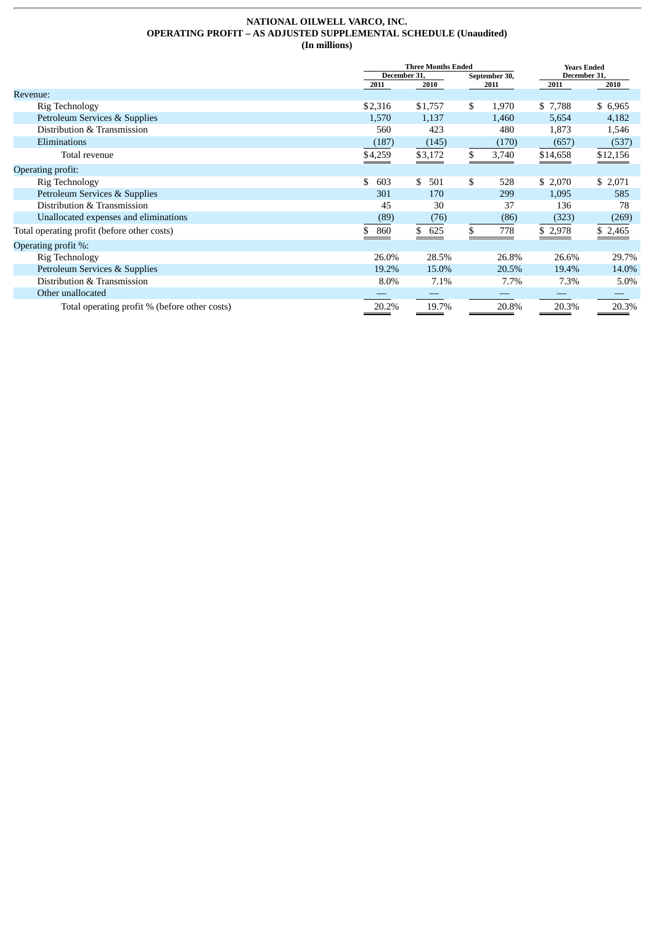#### **NATIONAL OILWELL VARCO, INC. OPERATING PROFIT – AS ADJUSTED SUPPLEMENTAL SCHEDULE (Unaudited) (In millions)**

|                                               |              | <b>Three Months Ended</b> | <b>Years Ended</b> |       |              |          |
|-----------------------------------------------|--------------|---------------------------|--------------------|-------|--------------|----------|
|                                               | December 31, |                           | September 30,      |       | December 31, |          |
|                                               | 2011         | 2010                      |                    | 2011  | 2011         | 2010     |
| Revenue:                                      |              |                           |                    |       |              |          |
| Rig Technology                                | \$2,316      | \$1,757                   | \$                 | 1,970 | \$7,788      | \$ 6,965 |
| Petroleum Services & Supplies                 | 1,570        | 1,137                     |                    | 1,460 | 5,654        | 4,182    |
| Distribution & Transmission                   | 560          | 423                       |                    | 480   | 1,873        | 1,546    |
| Eliminations                                  | (187)        | (145)                     |                    | (170) | (657)        | (537)    |
| Total revenue                                 | \$4,259      | \$3,172                   | \$                 | 3,740 | \$14,658     | \$12,156 |
| Operating profit:                             |              |                           |                    |       |              |          |
| Rig Technology                                | \$<br>603    | \$<br>501                 | \$                 | 528   | \$2,070      | \$2,071  |
| Petroleum Services & Supplies                 | 301          | 170                       |                    | 299   | 1,095        | 585      |
| Distribution & Transmission                   | 45           | 30                        |                    | 37    | 136          | 78       |
| Unallocated expenses and eliminations         | (89)         | (76)                      |                    | (86)  | (323)        | (269)    |
| Total operating profit (before other costs)   | 860<br>\$    | \$<br>625                 | \$                 | 778   | \$ 2,978     | \$2,465  |
| Operating profit %:                           |              |                           |                    |       |              |          |
| Rig Technology                                | 26.0%        | 28.5%                     |                    | 26.8% | 26.6%        | 29.7%    |
| Petroleum Services & Supplies                 | 19.2%        | 15.0%                     |                    | 20.5% | 19.4%        | 14.0%    |
| Distribution & Transmission                   | 8.0%         | 7.1%                      |                    | 7.7%  | 7.3%         | 5.0%     |
| Other unallocated                             |              |                           |                    |       |              |          |
| Total operating profit % (before other costs) | 20.2%        | 19.7%                     |                    | 20.8% | 20.3%        | 20.3%    |